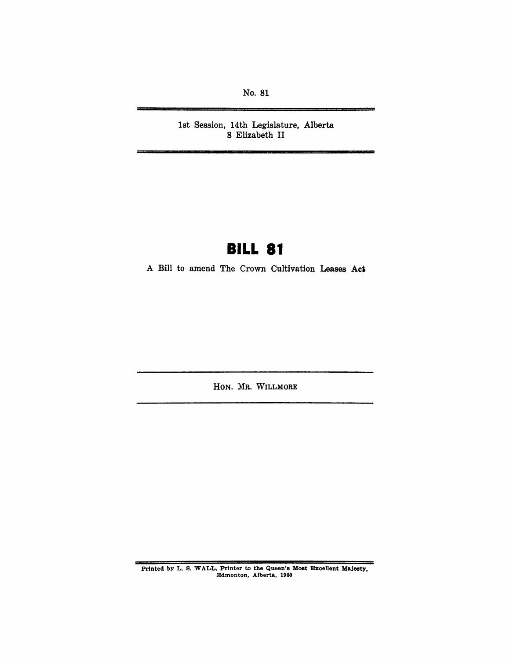No. 81

1st Session, 14th Legislature, Alberta 8 Elizabeth II

# **BILL 81**

A Bill to amend The Crown Cultivation Leases **Ael** 

HON. MR. WILLMORE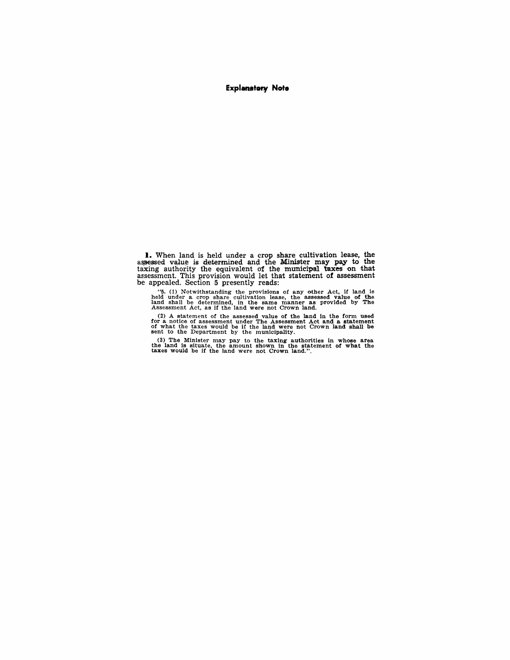#### **Explanatory Note**

**I.** When land is held under a crop share cUltivation lease, the assessed value is determined and the Minister may pay to the taxing authority the equivalent of the municipal taxes on that assessment. This provision would let that statement of assessment be appealed. Section 5 presently reads:

"5. (1) Notwithstanding the provisions of any other Act, if land is held under a crop share cultivation lease, the assessed value of the land shall be determined, in the same manner as provided by The Assessment Act, as i

(2) A statement of the assessed value of the land in the form used for a notice of assessment under The Assessment Act and a statement of what the taxes would be if the land were not Crown land shall be sent to the Depart

(3) The Minister may pay to the taxing authorities in whose area the land is situate, the amount shown in the statement of what the taxes would be if the land were not Crown land.".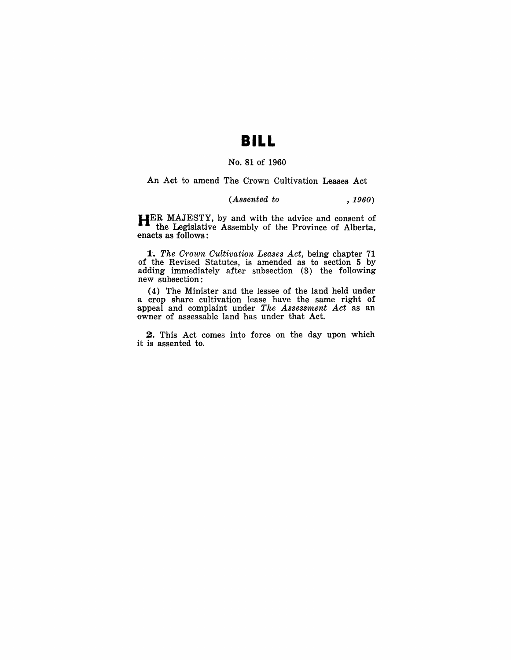# **BILL**

### No. 81 of 1960

#### An Act to amend The Crown Cultivation Leases Act

### *(Assented to , 1960)*

**HER** MAJESTY, by and with the advice and consent of the Legislative Assembly of the Province of Alberta, enacts as follows:

*1. The Crown Cultivation Leases Act,* being chapter 71 of the Revised Statutes, is amended as to section 5 by adding immediately after subsection (3) the following new subsection:

( 4) The Minister and the lessee of the land held under a crop share cultivation lease have the same right of appeal and complaint under *The Assessment Act* as an owner of assessable land has under that Act.

**2.** This Act comes into force on the day upon which it is assented to.